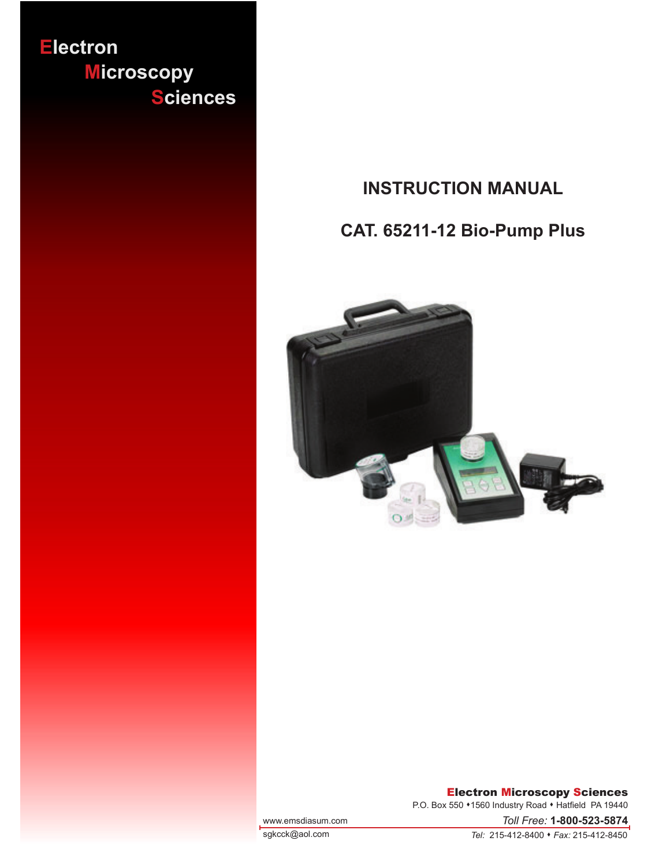

## **INSTRUCTION MANUAL**

# **CAT. 65211-12 Bio-Pump Plus**



#### Electron Microscopy Sciences

P.O. Box 550 • 1560 Industry Road • Hatfield PA 19440

www.emsdiasum.com

sgkcck@aol.com

*Tel:* 215-412-8400 • *Fax:* 215-412-8450

*Toll Free:* **1-800-523-5874**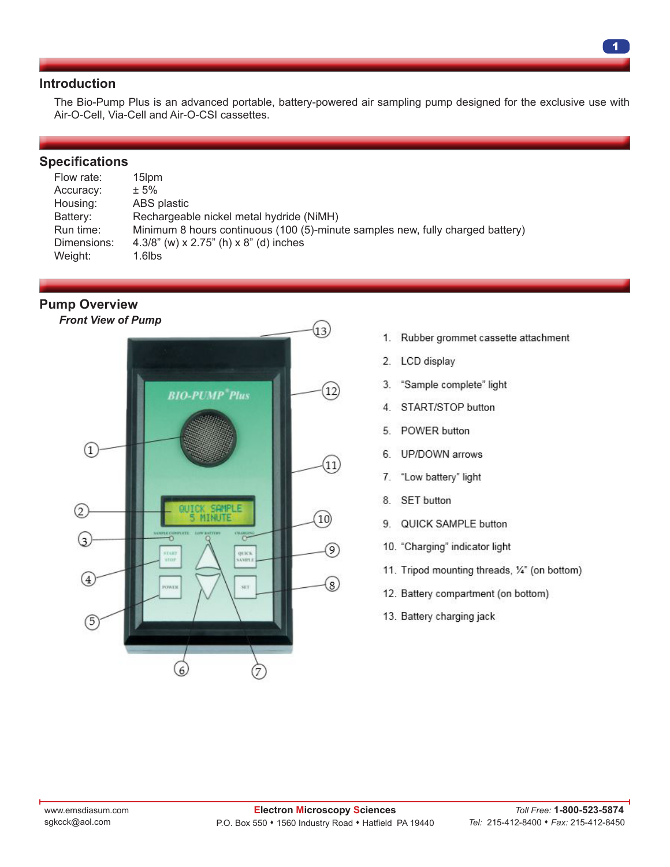## **Introduction**

The Bio-Pump Plus is an advanced portable, battery-powered air sampling pump designed for the exclusive use with Air-O-Cell, Via-Cell and Air-O-CSI cassettes.

#### **Specifications**

| Flow rate:  | 15lpm                                                                          |
|-------------|--------------------------------------------------------------------------------|
| Accuracy:   | $± 5\%$                                                                        |
| Housing:    | ABS plastic                                                                    |
| Battery:    | Rechargeable nickel metal hydride (NiMH)                                       |
| Run time:   | Minimum 8 hours continuous (100 (5)-minute samples new, fully charged battery) |
| Dimensions: | 4.3/8" (w) x 2.75" (h) x 8" (d) inches                                         |
| Weight:     | $1.6$ lbs                                                                      |

**Pump Overview**

*Front View of Pump*



- $1.$ Rubber grommet cassette attachment
- LCD display  $2.$
- 3. "Sample complete" light
- START/STOP button  $\overline{4}$ .
- POWER button 5
- UP/DOWN arrows 6.
- $7.$ "Low battery" light
- **SET** button 8.
- 9. QUICK SAMPLE button
- 10. "Charging" indicator light
- 11. Tripod mounting threads, 1/4" (on bottom)
- 12. Battery compartment (on bottom)
- 13. Battery charging jack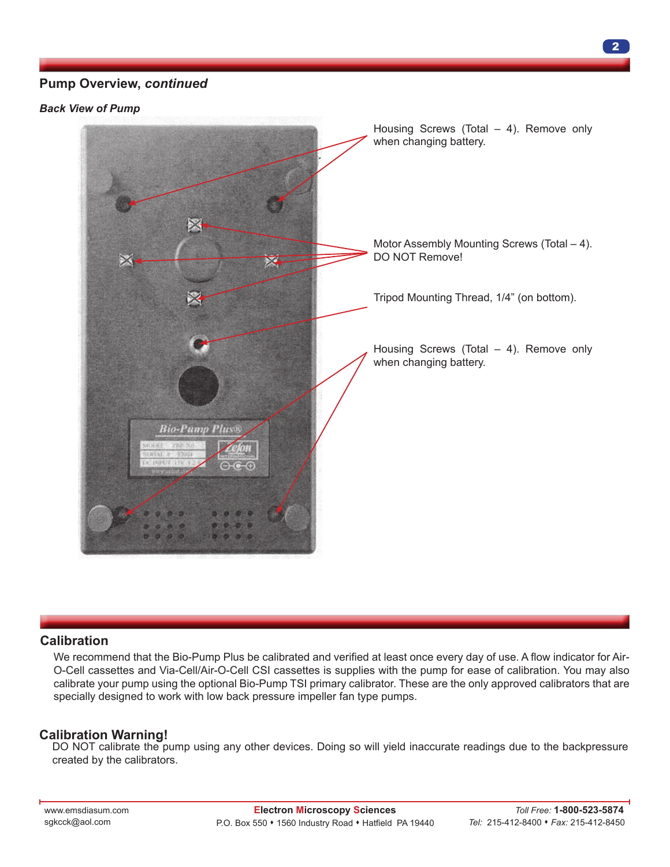## **Pump Overview,** *continued*

*Back View of Pump*



## **Calibration**

We recommend that the Bio-Pump Plus be calibrated and verified at least once every day of use. A flow indicator for Air-O-Cell cassettes and Via-Cell/Air-O-Cell CSI cassettes is supplies with the pump for ease of calibration. You may also calibrate your pump using the optional Bio-Pump TSI primary calibrator. These are the only approved calibrators that are specially designed to work with low back pressure impeller fan type pumps.

## **Calibration Warning!**

DO NOT calibrate the pump using any other devices. Doing so will yield inaccurate readings due to the backpressure created by the calibrators.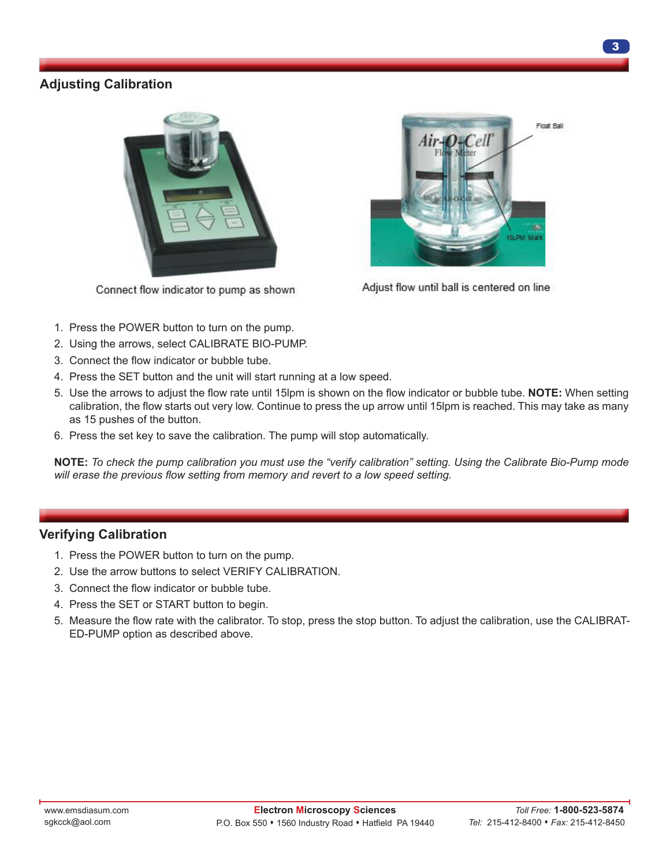## **Adjusting Calibration**



Connect flow indicator to pump as shown



Adjust flow until ball is centered on line

- 1. Press the POWER button to turn on the pump.
- 2. Using the arrows, select CALIBRATE BIO-PUMP.
- 3. Connect the flow indicator or bubble tube.
- 4. Press the SET button and the unit will start running at a low speed.
- 5. Use the arrows to adjust the flow rate until 15lpm is shown on the flow indicator or bubble tube. **NOTE:** When setting calibration, the flow starts out very low. Continue to press the up arrow until 15lpm is reached. This may take as many as 15 pushes of the button.
- 6. Press the set key to save the calibration. The pump will stop automatically.

**NOTE:** *To check the pump calibration you must use the "verify calibration" setting. Using the Calibrate Bio-Pump mode will erase the previous flow setting from memory and revert to a low speed setting.* 

## **Verifying Calibration**

- 1. Press the POWER button to turn on the pump.
- 2. Use the arrow buttons to select VERIFY CALIBRATION.
- 3. Connect the flow indicator or bubble tube.
- 4. Press the SET or START button to begin.
- 5. Measure the flow rate with the calibrator. To stop, press the stop button. To adjust the calibration, use the CALIBRAT-ED-PUMP option as described above.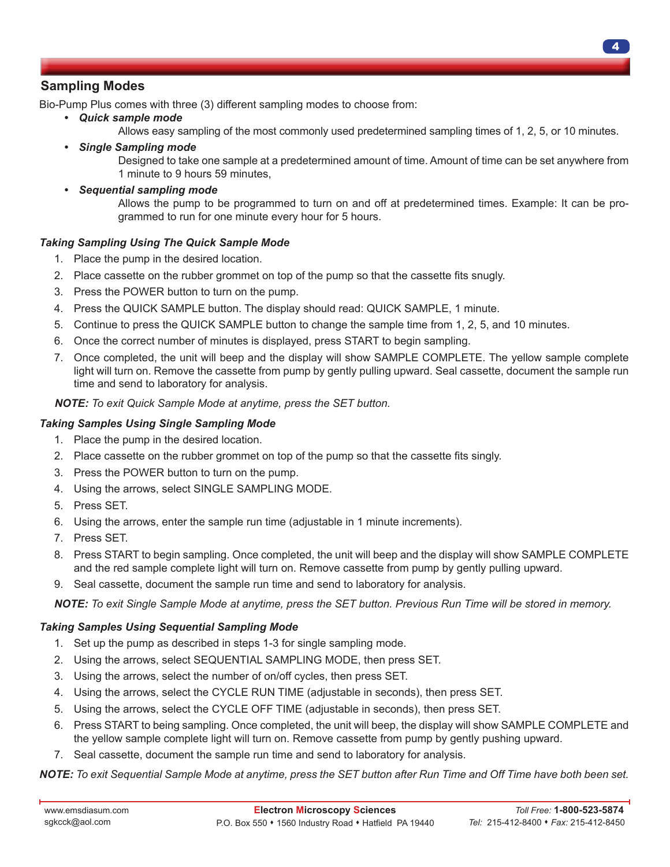## **Sampling Modes**

Bio-Pump Plus comes with three (3) different sampling modes to choose from:

- *• Quick sample mode*
	- Allows easy sampling of the most commonly used predetermined sampling times of 1, 2, 5, or 10 minutes.
- *• Single Sampling mode* Designed to take one sample at a predetermined amount of time. Amount of time can be set anywhere from 1 minute to 9 hours 59 minutes,
- *• Sequential sampling mode*

Allows the pump to be programmed to turn on and off at predetermined times. Example: It can be programmed to run for one minute every hour for 5 hours.

#### *Taking Sampling Using The Quick Sample Mode*

- 1. Place the pump in the desired location.
- 2. Place cassette on the rubber grommet on top of the pump so that the cassette fits snugly.
- 3. Press the POWER button to turn on the pump.
- 4. Press the QUICK SAMPLE button. The display should read: QUICK SAMPLE, 1 minute.
- 5. Continue to press the QUICK SAMPLE button to change the sample time from 1, 2, 5, and 10 minutes.
- 6. Once the correct number of minutes is displayed, press START to begin sampling.
- 7. Once completed, the unit will beep and the display will show SAMPLE COMPLETE. The yellow sample complete light will turn on. Remove the cassette from pump by gently pulling upward. Seal cassette, document the sample run time and send to laboratory for analysis.

#### *NOTE: To exit Quick Sample Mode at anytime, press the SET button.*

#### *Taking Samples Using Single Sampling Mode*

- 1. Place the pump in the desired location.
- 2. Place cassette on the rubber grommet on top of the pump so that the cassette fits singly.
- 3. Press the POWER button to turn on the pump.
- 4. Using the arrows, select SINGLE SAMPLING MODE.
- 5. Press SET.
- 6. Using the arrows, enter the sample run time (adjustable in 1 minute increments).
- 7. Press SET.
- 8. Press START to begin sampling. Once completed, the unit will beep and the display will show SAMPLE COMPLETE and the red sample complete light will turn on. Remove cassette from pump by gently pulling upward.
- 9. Seal cassette, document the sample run time and send to laboratory for analysis.

*NOTE: To exit Single Sample Mode at anytime, press the SET button. Previous Run Time will be stored in memory.*

#### *Taking Samples Using Sequential Sampling Mode*

- 1. Set up the pump as described in steps 1-3 for single sampling mode.
- 2. Using the arrows, select SEQUENTIAL SAMPLING MODE, then press SET.
- 3. Using the arrows, select the number of on/off cycles, then press SET.
- 4. Using the arrows, select the CYCLE RUN TIME (adjustable in seconds), then press SET.
- 5. Using the arrows, select the CYCLE OFF TIME (adjustable in seconds), then press SET.
- 6. Press START to being sampling. Once completed, the unit will beep, the display will show SAMPLE COMPLETE and the yellow sample complete light will turn on. Remove cassette from pump by gently pushing upward.
- 7. Seal cassette, document the sample run time and send to laboratory for analysis.

*NOTE: To exit Sequential Sample Mode at anytime, press the SET button after Run Time and Off Time have both been set.*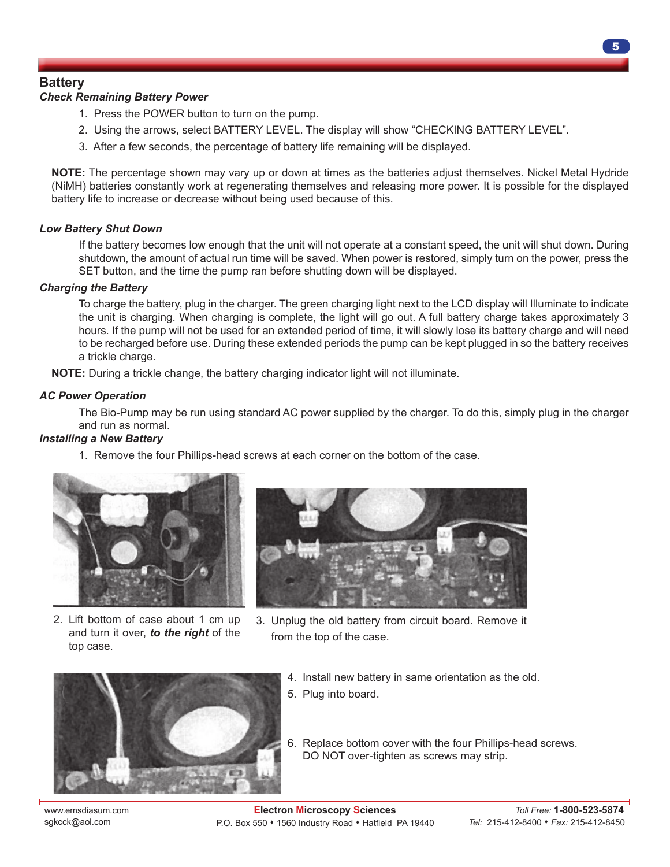## **Battery**

#### *Check Remaining Battery Power*

- 1. Press the POWER button to turn on the pump.
- 2. Using the arrows, select BATTERY LEVEL. The display will show "CHECKING BATTERY LEVEL".
- 3. After a few seconds, the percentage of battery life remaining will be displayed.

 **NOTE:** The percentage shown may vary up or down at times as the batteries adjust themselves. Nickel Metal Hydride (NiMH) batteries constantly work at regenerating themselves and releasing more power. It is possible for the displayed battery life to increase or decrease without being used because of this.

#### *Low Battery Shut Down*

 If the battery becomes low enough that the unit will not operate at a constant speed, the unit will shut down. During shutdown, the amount of actual run time will be saved. When power is restored, simply turn on the power, press the SET button, and the time the pump ran before shutting down will be displayed.

#### *Charging the Battery*

 To charge the battery, plug in the charger. The green charging light next to the LCD display will Illuminate to indicate the unit is charging. When charging is complete, the light will go out. A full battery charge takes approximately 3 hours. If the pump will not be used for an extended period of time, it will slowly lose its battery charge and will need to be recharged before use. During these extended periods the pump can be kept plugged in so the battery receives a trickle charge.

 **NOTE:** During a trickle change, the battery charging indicator light will not illuminate.

#### *AC Power Operation*

 The Bio-Pump may be run using standard AC power supplied by the charger. To do this, simply plug in the charger and run as normal.

#### *Installing a New Battery*

1. Remove the four Phillips-head screws at each corner on the bottom of the case.



2. Lift bottom of case about 1 cm up and turn it over, *to the right* of the top case.



3. Unplug the old battery from circuit board. Remove it from the top of the case.



- 4. Install new battery in same orientation as the old.
- 5. Plug into board.
- 6. Replace bottom cover with the four Phillips-head screws. DO NOT over-tighten as screws may strip.

www.emsdiasum.com